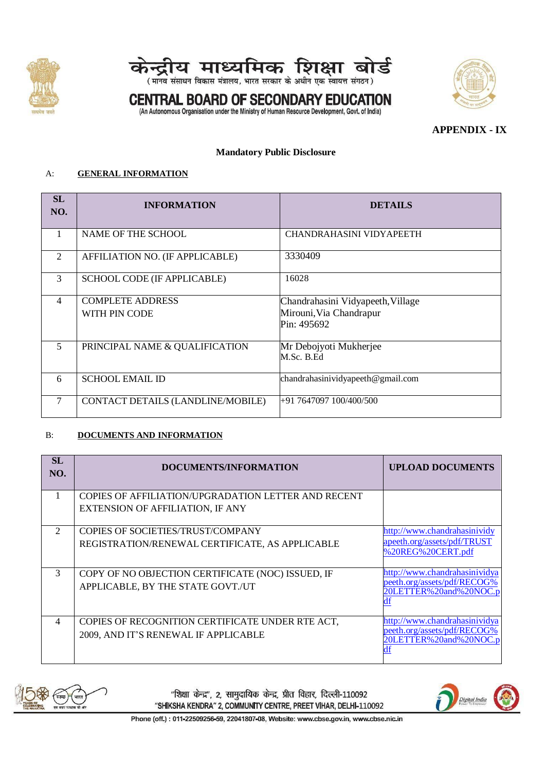



## **CENTRAL BOARD OF SECONDARY EDUCATION**



(An Autonomous Organisation under the Ministry of Human Resource Development, Govt. of India)

## **APPENDIX - IX**

#### **Mandatory Public Disclosure**

#### A: **GENERAL INFORMATION**

| SL<br>NO.      | <b>INFORMATION</b>                       | <b>DETAILS</b>                                                              |
|----------------|------------------------------------------|-----------------------------------------------------------------------------|
| 1              | <b>NAME OF THE SCHOOL</b>                | <b>CHANDRAHASINI VIDYAPEETH</b>                                             |
| $\overline{2}$ | AFFILIATION NO. (IF APPLICABLE)          | 3330409                                                                     |
| 3              | SCHOOL CODE (IF APPLICABLE)              | 16028                                                                       |
| $\overline{4}$ | <b>COMPLETE ADDRESS</b><br>WITH PIN CODE | Chandrahasini Vidyapeeth, Village<br>Mirouni, Via Chandrapur<br>Pin: 495692 |
| 5              | PRINCIPAL NAME & QUALIFICATION           | Mr Debojyoti Mukherjee<br>M.Sc. B.Ed                                        |
| 6              | <b>SCHOOL EMAIL ID</b>                   | chandrahasinividyapeeth@gmail.com                                           |
| 7              | CONTACT DETAILS (LANDLINE/MOBILE)        | +91 7647097 100/400/500                                                     |

#### B: **DOCUMENTS AND INFORMATION**

| <b>SL</b><br>NO.            | DOCUMENTS/INFORMATION                                      | <b>UPLOAD DOCUMENTS</b>                                      |
|-----------------------------|------------------------------------------------------------|--------------------------------------------------------------|
|                             | <b>COPIES OF AFFILIATION/UPGRADATION LETTER AND RECENT</b> |                                                              |
|                             | <b>EXTENSION OF AFFILIATION, IF ANY</b>                    |                                                              |
| $\mathcal{D}_{\mathcal{L}}$ | COPIES OF SOCIETIES/TRUST/COMPANY                          | http://www.chandrahasinividy                                 |
|                             | REGISTRATION/RENEWAL CERTIFICATE, AS APPLICABLE            | apeeth.org/assets/pdf/TRUST<br>%20REG%20CERT.pdf             |
| 3                           | COPY OF NO OBJECTION CERTIFICATE (NOC) ISSUED, IF          | http://www.chandrahasinividya                                |
|                             | APPLICABLE, BY THE STATE GOVT./UT                          | peeth.org/assets/pdf/RECOG%<br>20LETTER%20and%20NOC.p        |
|                             |                                                            |                                                              |
| 4                           | COPIES OF RECOGNITION CERTIFICATE UNDER RTE ACT,           | http://www.chandrahasinividya<br>peeth.org/assets/pdf/RECOG% |
|                             | 2009, AND IT'S RENEWAL IF APPLICABLE                       | OLETTER%20and%20NOC.p                                        |



"शिक्षा केन्द्र", 2, सामुदायिक केन्द्र, प्रीत विहार, दिल्ली-110092 "SHIKSHA KENDRA" 2, COMMUNITY CENTRE, PREET VIHAR, DELHI-110092

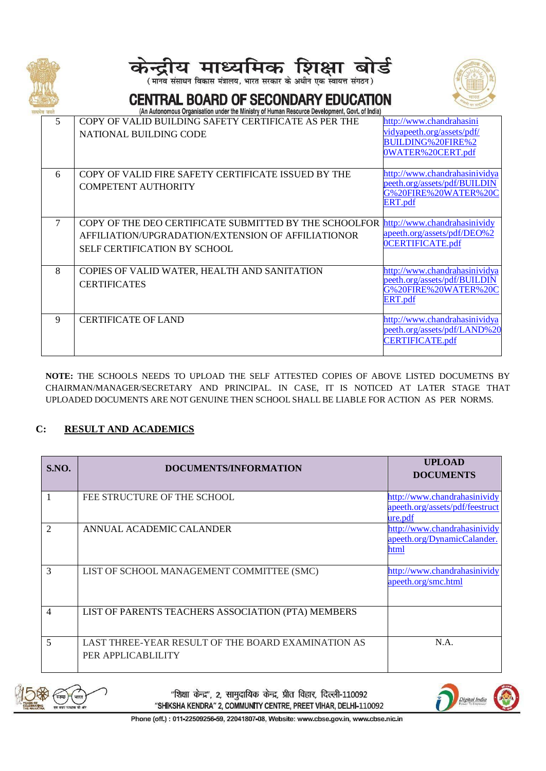





# **CENTRAL BOARD OF SECONDARY EDUCATION**

| ୳ସ ଏସମ<br>5 | An Autonomous Organisation under the ministry or numan riesource Development, Quyt, or mula)<br>COPY OF VALID BUILDING SAFETY CERTIFICATE AS PER THE<br>NATIONAL BUILDING CODE | http://www.chandrahasini<br>vidyapeeth.org/assets/pdf/<br>BUILDING%20FIRE%2<br>0WATER%20CERT.pdf |
|-------------|--------------------------------------------------------------------------------------------------------------------------------------------------------------------------------|--------------------------------------------------------------------------------------------------|
| 6           | COPY OF VALID FIRE SAFETY CERTIFICATE ISSUED BY THE<br><b>COMPETENT AUTHORITY</b>                                                                                              | http://www.chandrahasinividya<br>peeth.org/assets/pdf/BUILDIN<br>G%20FIRE%20WATER%20C<br>ERT.pdf |
| 7           | COPY OF THE DEO CERTIFICATE SUBMITTED BY THE SCHOOLFOR http://www.chandrahasinividy<br>AFFILIATION/UPGRADATION/EXTENSION OF AFFILIATIONOR<br>SELF CERTIFICATION BY SCHOOL      | apeeth.org/assets/pdf/DEO%2<br>OCERTIFICATE.pdf                                                  |
| 8           | COPIES OF VALID WATER, HEALTH AND SANITATION<br><b>CERTIFICATES</b>                                                                                                            | http://www.chandrahasinividya<br>peeth.org/assets/pdf/BUILDIN<br>G%20FIRE%20WATER%20C<br>ERT.pdf |
| 9           | <b>CERTIFICATE OF LAND</b>                                                                                                                                                     | http://www.chandrahasinividya<br>peeth.org/assets/pdf/LAND%20<br><b>CERTIFICATE.pdf</b>          |

**NOTE:** THE SCHOOLS NEEDS TO UPLOAD THE SELF ATTESTED COPIES OF ABOVE LISTED DOCUMETNS BY CHAIRMAN/MANAGER/SECRETARY AND PRINCIPAL. IN CASE, IT IS NOTICED AT LATER STAGE THAT UPLOADED DOCUMENTS ARE NOT GENUINE THEN SCHOOL SHALL BE LIABLE FOR ACTION AS PER NORMS.

## **C: RESULT AND ACADEMICS**

| <b>S.NO.</b>   | DOCUMENTS/INFORMATION                                                    | <b>UPLOAD</b><br><b>DOCUMENTS</b>                                          |
|----------------|--------------------------------------------------------------------------|----------------------------------------------------------------------------|
|                | FEE STRUCTURE OF THE SCHOOL                                              | http://www.chandrahasinividy<br>apeeth.org/assets/pdf/feestruct<br>ure.pdf |
| $\overline{2}$ | ANNUAL ACADEMIC CALANDER                                                 | http://www.chandrahasinividy<br>apeeth.org/DynamicCalander.<br>html        |
| 3              | LIST OF SCHOOL MANAGEMENT COMMITTEE (SMC)                                | http://www.chandrahasinividy<br>apeeth.org/smc.html                        |
| $\overline{4}$ | LIST OF PARENTS TEACHERS ASSOCIATION (PTA) MEMBERS                       |                                                                            |
| 5              | LAST THREE-YEAR RESULT OF THE BOARD EXAMINATION AS<br>PER APPLICABLILITY | N.A.                                                                       |



"शिक्षा केन्द्र", 2, सामुदायिक केन्द्र, प्रीत विहार, दिल्ली-110092 "SHIKSHA KENDRA" 2, COMMUNITY CENTRE, PREET VIHAR, DELHI-110092

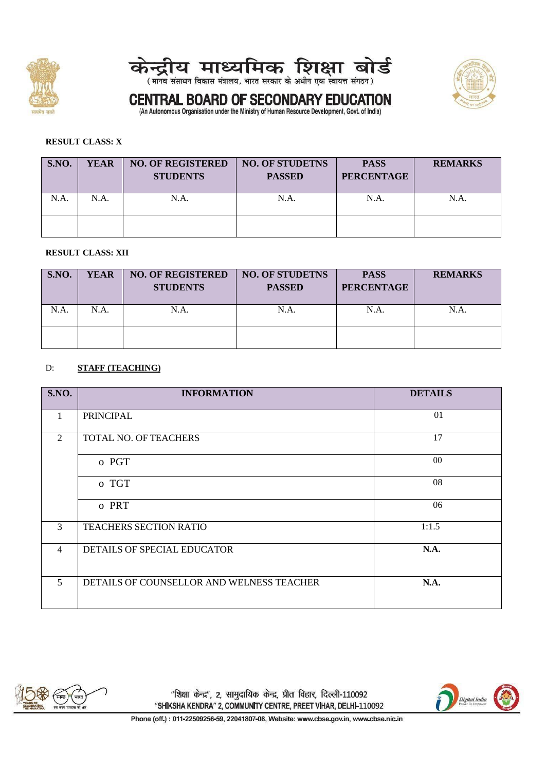





# **CENTRAL BOARD OF SECONDARY EDUCATION** (An Autonomous Organisation under the Ministry of Human Resource Development, Govt. of India)

#### **RESULT CLASS: X**

| S.NO. | <b>YEAR</b> | <b>NO. OF REGISTERED</b><br><b>STUDENTS</b> | <b>NO. OF STUDETNS</b><br><b>PASSED</b> | <b>PASS</b><br><b>PERCENTAGE</b> | <b>REMARKS</b> |
|-------|-------------|---------------------------------------------|-----------------------------------------|----------------------------------|----------------|
| N.A.  | N.A.        | N.A.                                        | N.A.                                    | $N.A$ .                          | N.A            |
|       |             |                                             |                                         |                                  |                |

#### **RESULT CLASS: XII**

| S.NO. | <b>YEAR</b> | <b>NO. OF REGISTERED</b><br><b>STUDENTS</b> | <b>NO. OF STUDETNS</b><br><b>PASSED</b> | <b>PASS</b><br><b>PERCENTAGE</b> | <b>REMARKS</b> |
|-------|-------------|---------------------------------------------|-----------------------------------------|----------------------------------|----------------|
| N.A.  | N.A.        | N.A.                                        | N.A.                                    | $N.A$ .                          | N.A            |
|       |             |                                             |                                         |                                  |                |

#### D: **STAFF (TEACHING)**

| S.NO.          | <b>INFORMATION</b>                        | <b>DETAILS</b> |
|----------------|-------------------------------------------|----------------|
| $\mathbf{1}$   | <b>PRINCIPAL</b>                          | 01             |
| 2              | TOTAL NO. OF TEACHERS                     | 17             |
|                | o PGT                                     | $00\,$         |
|                | o TGT                                     | 08             |
|                | o PRT                                     | 06             |
| 3              | <b>TEACHERS SECTION RATIO</b>             | 1:1.5          |
| $\overline{4}$ | DETAILS OF SPECIAL EDUCATOR               | N.A.           |
| 5              | DETAILS OF COUNSELLOR AND WELNESS TEACHER | N.A.           |